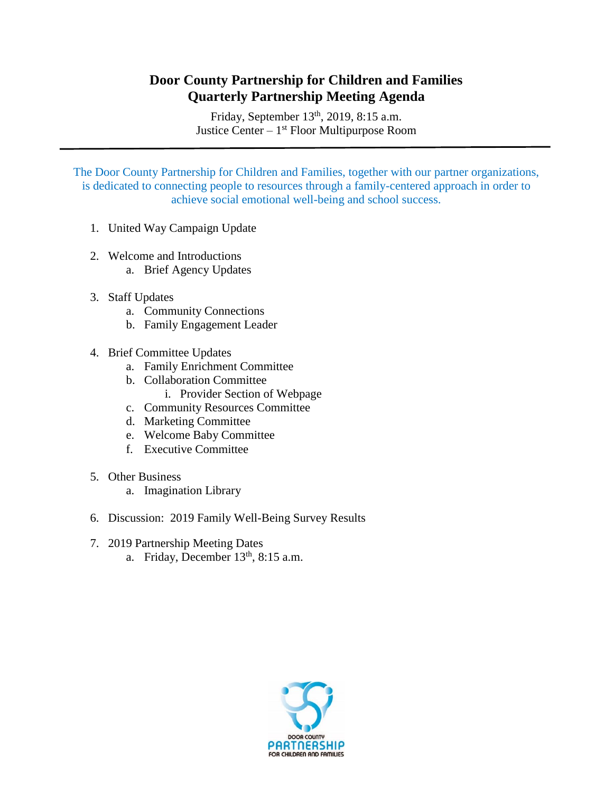## **Door County Partnership for Children and Families Quarterly Partnership Meeting Agenda**

Friday, September 13<sup>th</sup>, 2019, 8:15 a.m. Justice Center – 1<sup>st</sup> Floor Multipurpose Room

The Door County Partnership for Children and Families, together with our partner organizations, is dedicated to connecting people to resources through a family-centered approach in order to achieve social emotional well-being and school success.

- 1. United Way Campaign Update
- 2. Welcome and Introductions
	- a. Brief Agency Updates
- 3. Staff Updates
	- a. Community Connections
	- b. Family Engagement Leader
- 4. Brief Committee Updates
	- a. Family Enrichment Committee
	- b. Collaboration Committee
		- i. Provider Section of Webpage
	- c. Community Resources Committee
	- d. Marketing Committee
	- e. Welcome Baby Committee
	- f. Executive Committee
- 5. Other Business
	- a. Imagination Library
- 6. Discussion: 2019 Family Well-Being Survey Results
- 7. 2019 Partnership Meeting Dates a. Friday, December  $13<sup>th</sup>$ , 8:15 a.m.

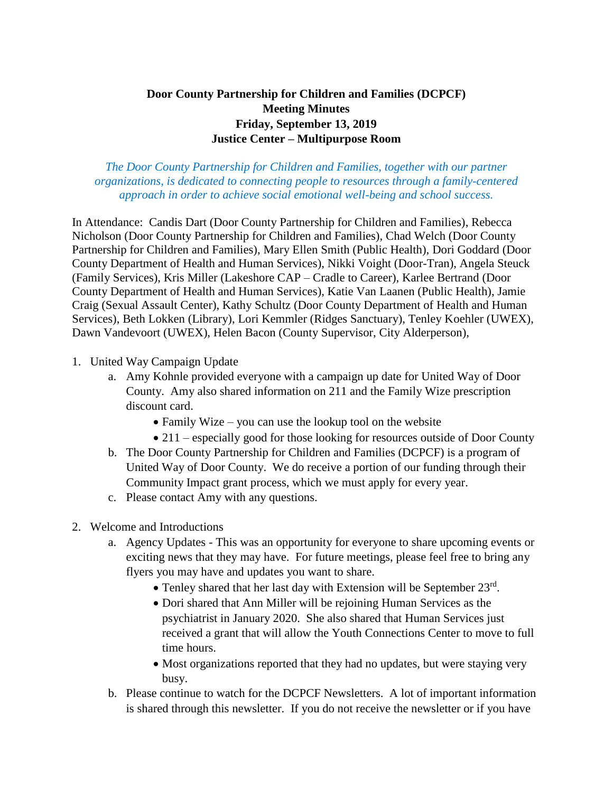## **Door County Partnership for Children and Families (DCPCF) Meeting Minutes Friday, September 13, 2019 Justice Center – Multipurpose Room**

*The Door County Partnership for Children and Families, together with our partner organizations, is dedicated to connecting people to resources through a family-centered approach in order to achieve social emotional well-being and school success.*

In Attendance: Candis Dart (Door County Partnership for Children and Families), Rebecca Nicholson (Door County Partnership for Children and Families), Chad Welch (Door County Partnership for Children and Families), Mary Ellen Smith (Public Health), Dori Goddard (Door County Department of Health and Human Services), Nikki Voight (Door-Tran), Angela Steuck (Family Services), Kris Miller (Lakeshore CAP – Cradle to Career), Karlee Bertrand (Door County Department of Health and Human Services), Katie Van Laanen (Public Health), Jamie Craig (Sexual Assault Center), Kathy Schultz (Door County Department of Health and Human Services), Beth Lokken (Library), Lori Kemmler (Ridges Sanctuary), Tenley Koehler (UWEX), Dawn Vandevoort (UWEX), Helen Bacon (County Supervisor, City Alderperson),

- 1. United Way Campaign Update
	- a. Amy Kohnle provided everyone with a campaign up date for United Way of Door County. Amy also shared information on 211 and the Family Wize prescription discount card.
		- Family Wize you can use the lookup tool on the website
		- 211 especially good for those looking for resources outside of Door County
	- b. The Door County Partnership for Children and Families (DCPCF) is a program of United Way of Door County. We do receive a portion of our funding through their Community Impact grant process, which we must apply for every year.
	- c. Please contact Amy with any questions.
- 2. Welcome and Introductions
	- a. Agency Updates This was an opportunity for everyone to share upcoming events or exciting news that they may have. For future meetings, please feel free to bring any flyers you may have and updates you want to share.
		- Tenley shared that her last day with Extension will be September 23rd.
		- Dori shared that Ann Miller will be rejoining Human Services as the psychiatrist in January 2020. She also shared that Human Services just received a grant that will allow the Youth Connections Center to move to full time hours.
		- Most organizations reported that they had no updates, but were staying very busy.
	- b. Please continue to watch for the DCPCF Newsletters. A lot of important information is shared through this newsletter. If you do not receive the newsletter or if you have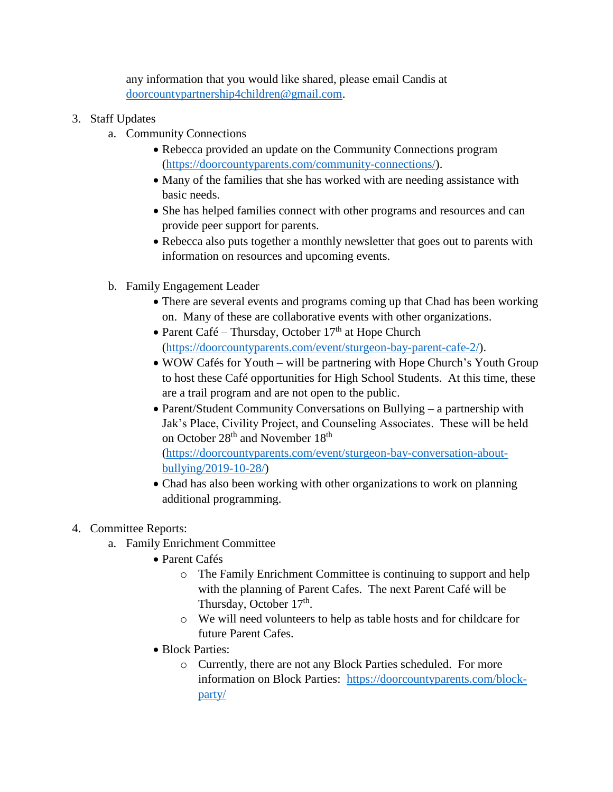any information that you would like shared, please email Candis at [doorcountypartnership4children@gmail.com.](mailto:doorcountypartnership4children@gmail.com)

- 3. Staff Updates
	- a. Community Connections
		- Rebecca provided an update on the Community Connections program [\(https://doorcountyparents.com/community-connections/\)](https://doorcountyparents.com/community-connections/).
		- Many of the families that she has worked with are needing assistance with basic needs.
		- She has helped families connect with other programs and resources and can provide peer support for parents.
		- Rebecca also puts together a monthly newsletter that goes out to parents with information on resources and upcoming events.
	- b. Family Engagement Leader
		- There are several events and programs coming up that Chad has been working on. Many of these are collaborative events with other organizations.
		- Parent Café Thursday, October  $17<sup>th</sup>$  at Hope Church [\(https://doorcountyparents.com/event/sturgeon-bay-parent-cafe-2/\)](https://doorcountyparents.com/event/sturgeon-bay-parent-cafe-2/).
		- WOW Cafés for Youth will be partnering with Hope Church's Youth Group to host these Café opportunities for High School Students. At this time, these are a trail program and are not open to the public.
		- Parent/Student Community Conversations on Bullying a partnership with Jak's Place, Civility Project, and Counseling Associates. These will be held on October 28<sup>th</sup> and November 18<sup>th</sup> [\(https://doorcountyparents.com/event/sturgeon-bay-conversation-about-](https://doorcountyparents.com/event/sturgeon-bay-conversation-about-bullying/2019-10-28/)

[bullying/2019-10-28/\)](https://doorcountyparents.com/event/sturgeon-bay-conversation-about-bullying/2019-10-28/)

• Chad has also been working with other organizations to work on planning additional programming.

## 4. Committee Reports:

- a. Family Enrichment Committee
	- Parent Cafés
		- o The Family Enrichment Committee is continuing to support and help with the planning of Parent Cafes. The next Parent Café will be Thursday, October 17<sup>th</sup>.
		- o We will need volunteers to help as table hosts and for childcare for future Parent Cafes.
	- Block Parties:
		- o Currently, there are not any Block Parties scheduled. For more information on Block Parties: [https://doorcountyparents.com/block](https://doorcountyparents.com/block-party/)[party/](https://doorcountyparents.com/block-party/)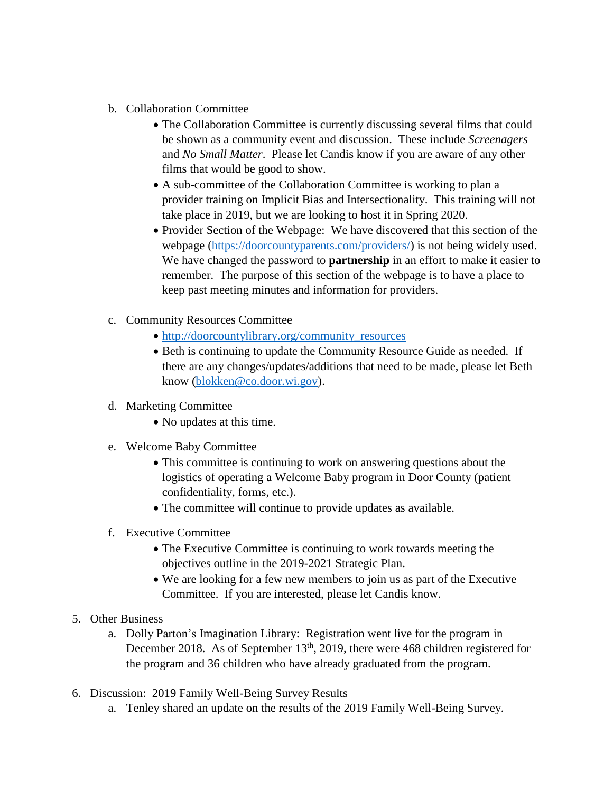- b. Collaboration Committee
	- The Collaboration Committee is currently discussing several films that could be shown as a community event and discussion. These include *Screenagers* and *No Small Matter*. Please let Candis know if you are aware of any other films that would be good to show.
	- A sub-committee of the Collaboration Committee is working to plan a provider training on Implicit Bias and Intersectionality. This training will not take place in 2019, but we are looking to host it in Spring 2020.
	- Provider Section of the Webpage: We have discovered that this section of the webpage [\(https://doorcountyparents.com/providers/\)](https://doorcountyparents.com/providers/) is not being widely used. We have changed the password to **partnership** in an effort to make it easier to remember. The purpose of this section of the webpage is to have a place to keep past meeting minutes and information for providers.
- c. Community Resources Committee
	- [http://doorcountylibrary.org/community\\_resources](http://doorcountylibrary.org/community_resources)
	- Beth is continuing to update the Community Resource Guide as needed. If there are any changes/updates/additions that need to be made, please let Beth know [\(blokken@co.door.wi.gov\)](mailto:blokken@co.door.wi.gov).
- d. Marketing Committee
	- No updates at this time.
- e. Welcome Baby Committee
	- This committee is continuing to work on answering questions about the logistics of operating a Welcome Baby program in Door County (patient confidentiality, forms, etc.).
	- The committee will continue to provide updates as available.
- f. Executive Committee
	- The Executive Committee is continuing to work towards meeting the objectives outline in the 2019-2021 Strategic Plan.
	- We are looking for a few new members to join us as part of the Executive Committee. If you are interested, please let Candis know.
- 5. Other Business
	- a. Dolly Parton's Imagination Library: Registration went live for the program in December 2018. As of September 13<sup>th</sup>, 2019, there were 468 children registered for the program and 36 children who have already graduated from the program.
- 6. Discussion: 2019 Family Well-Being Survey Results
	- a. Tenley shared an update on the results of the 2019 Family Well-Being Survey.